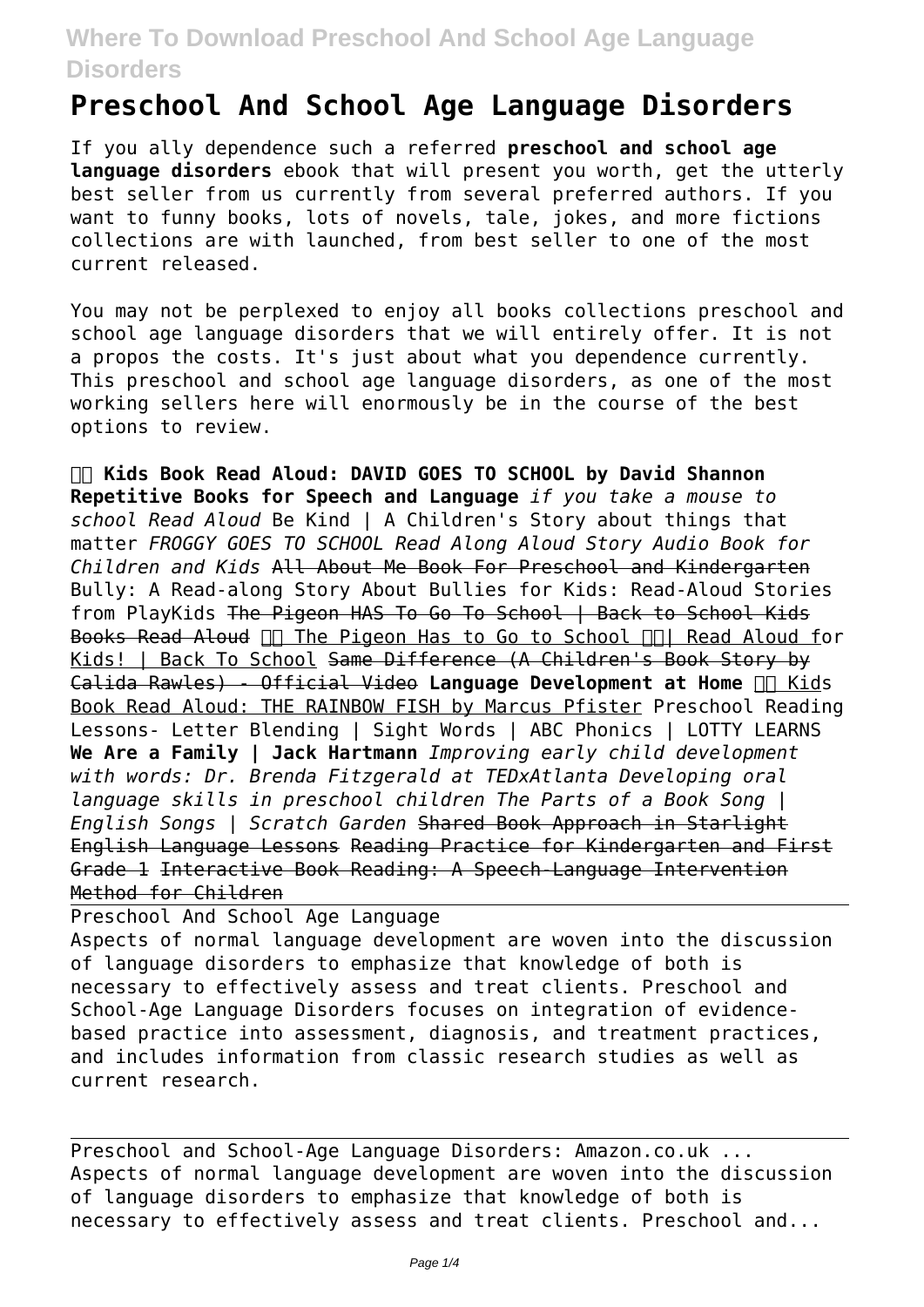## **Where To Download Preschool And School Age Language Disorders**

## **Preschool And School Age Language Disorders**

If you ally dependence such a referred **preschool and school age language disorders** ebook that will present you worth, get the utterly best seller from us currently from several preferred authors. If you want to funny books, lots of novels, tale, jokes, and more fictions collections are with launched, from best seller to one of the most current released.

You may not be perplexed to enjoy all books collections preschool and school age language disorders that we will entirely offer. It is not a propos the costs. It's just about what you dependence currently. This preschool and school age language disorders, as one of the most working sellers here will enormously be in the course of the best options to review.

 **Kids Book Read Aloud: DAVID GOES TO SCHOOL by David Shannon Repetitive Books for Speech and Language** *if you take a mouse to school Read Aloud* Be Kind | A Children's Story about things that matter *FROGGY GOES TO SCHOOL Read Along Aloud Story Audio Book for Children and Kids* All About Me Book For Preschool and Kindergarten Bully: A Read-along Story About Bullies for Kids: Read-Aloud Stories from PlayKids The Pigeon HAS To Go To School | Back to School Kids Books Read Aloud  $\Box$  The Pigeon Has to Go to School  $\Box$  Read Aloud for Kids! | Back To School Same Difference (A Children's Book Story by Calida Rawles) - Official Video Language Development at Home **In Kids** Book Read Aloud: THE RAINBOW FISH by Marcus Pfister Preschool Reading Lessons- Letter Blending | Sight Words | ABC Phonics | LOTTY LEARNS **We Are a Family | Jack Hartmann** *Improving early child development with words: Dr. Brenda Fitzgerald at TEDxAtlanta Developing oral language skills in preschool children The Parts of a Book Song | English Songs | Scratch Garden* Shared Book Approach in Starlight English Language Lessons Reading Practice for Kindergarten and First Grade 1 Interactive Book Reading: A Speech-Language Intervention Method for Children

Preschool And School Age Language Aspects of normal language development are woven into the discussion of language disorders to emphasize that knowledge of both is necessary to effectively assess and treat clients. Preschool and School-Age Language Disorders focuses on integration of evidencebased practice into assessment, diagnosis, and treatment practices, and includes information from classic research studies as well as current research.

Preschool and School-Age Language Disorders: Amazon.co.uk ... Aspects of normal language development are woven into the discussion of language disorders to emphasize that knowledge of both is necessary to effectively assess and treat clients. Preschool and...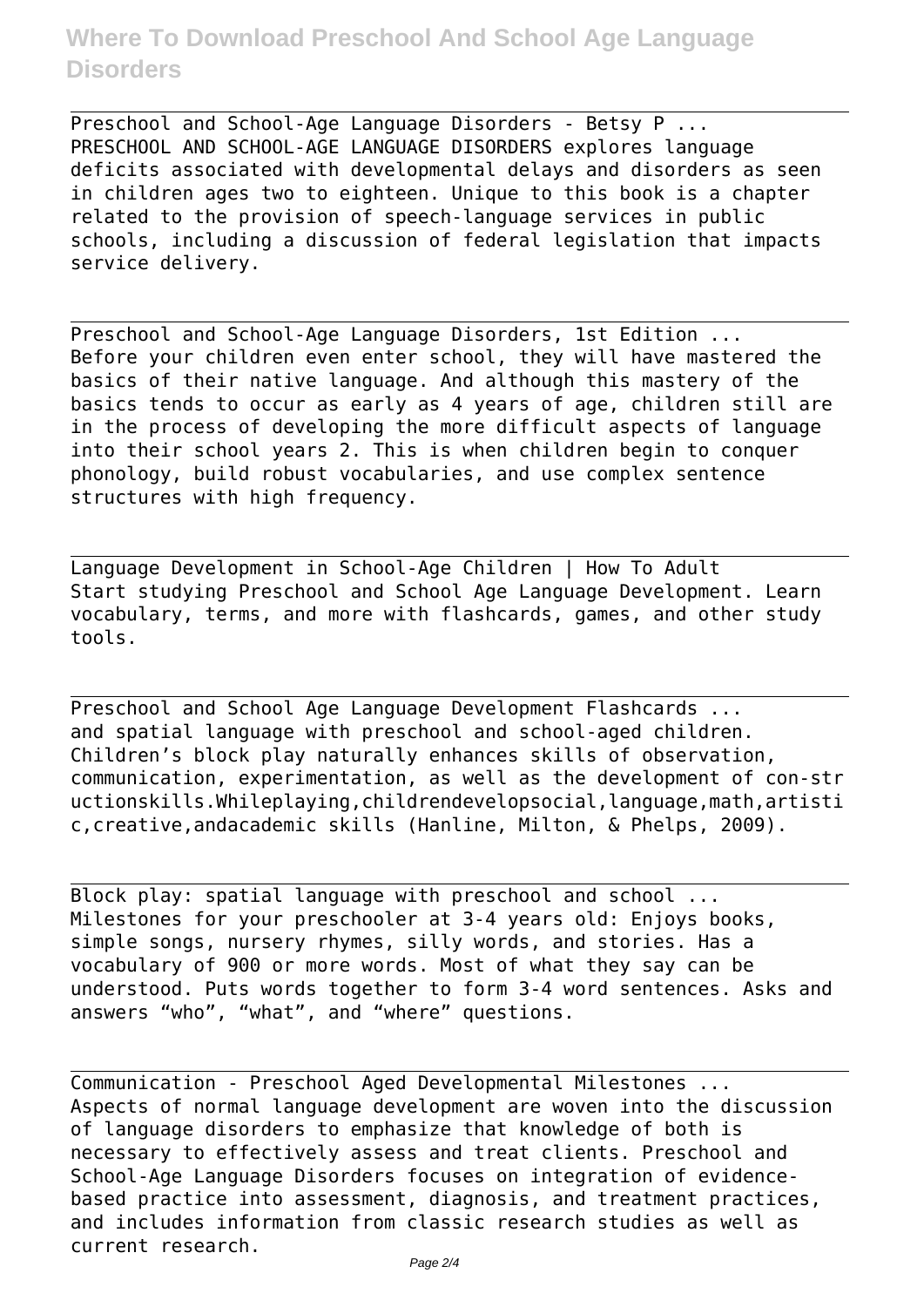## **Where To Download Preschool And School Age Language Disorders**

Preschool and School-Age Language Disorders - Betsy P ... PRESCHOOL AND SCHOOL-AGE LANGUAGE DISORDERS explores language deficits associated with developmental delays and disorders as seen in children ages two to eighteen. Unique to this book is a chapter related to the provision of speech-language services in public schools, including a discussion of federal legislation that impacts service delivery.

Preschool and School-Age Language Disorders, 1st Edition ... Before your children even enter school, they will have mastered the basics of their native language. And although this mastery of the basics tends to occur as early as 4 years of age, children still are in the process of developing the more difficult aspects of language into their school years 2. This is when children begin to conquer phonology, build robust vocabularies, and use complex sentence structures with high frequency.

Language Development in School-Age Children | How To Adult Start studying Preschool and School Age Language Development. Learn vocabulary, terms, and more with flashcards, games, and other study tools.

Preschool and School Age Language Development Flashcards ... and spatial language with preschool and school-aged children. Children's block play naturally enhances skills of observation, communication, experimentation, as well as the development of con-str uctionskills.Whileplaying,childrendevelopsocial,language,math,artisti c,creative,andacademic skills (Hanline, Milton, & Phelps, 2009).

Block play: spatial language with preschool and school ... Milestones for your preschooler at 3-4 years old: Enjoys books, simple songs, nursery rhymes, silly words, and stories. Has a vocabulary of 900 or more words. Most of what they say can be understood. Puts words together to form 3-4 word sentences. Asks and answers "who", "what", and "where" questions.

Communication - Preschool Aged Developmental Milestones ... Aspects of normal language development are woven into the discussion of language disorders to emphasize that knowledge of both is necessary to effectively assess and treat clients. Preschool and School-Age Language Disorders focuses on integration of evidencebased practice into assessment, diagnosis, and treatment practices, and includes information from classic research studies as well as current research.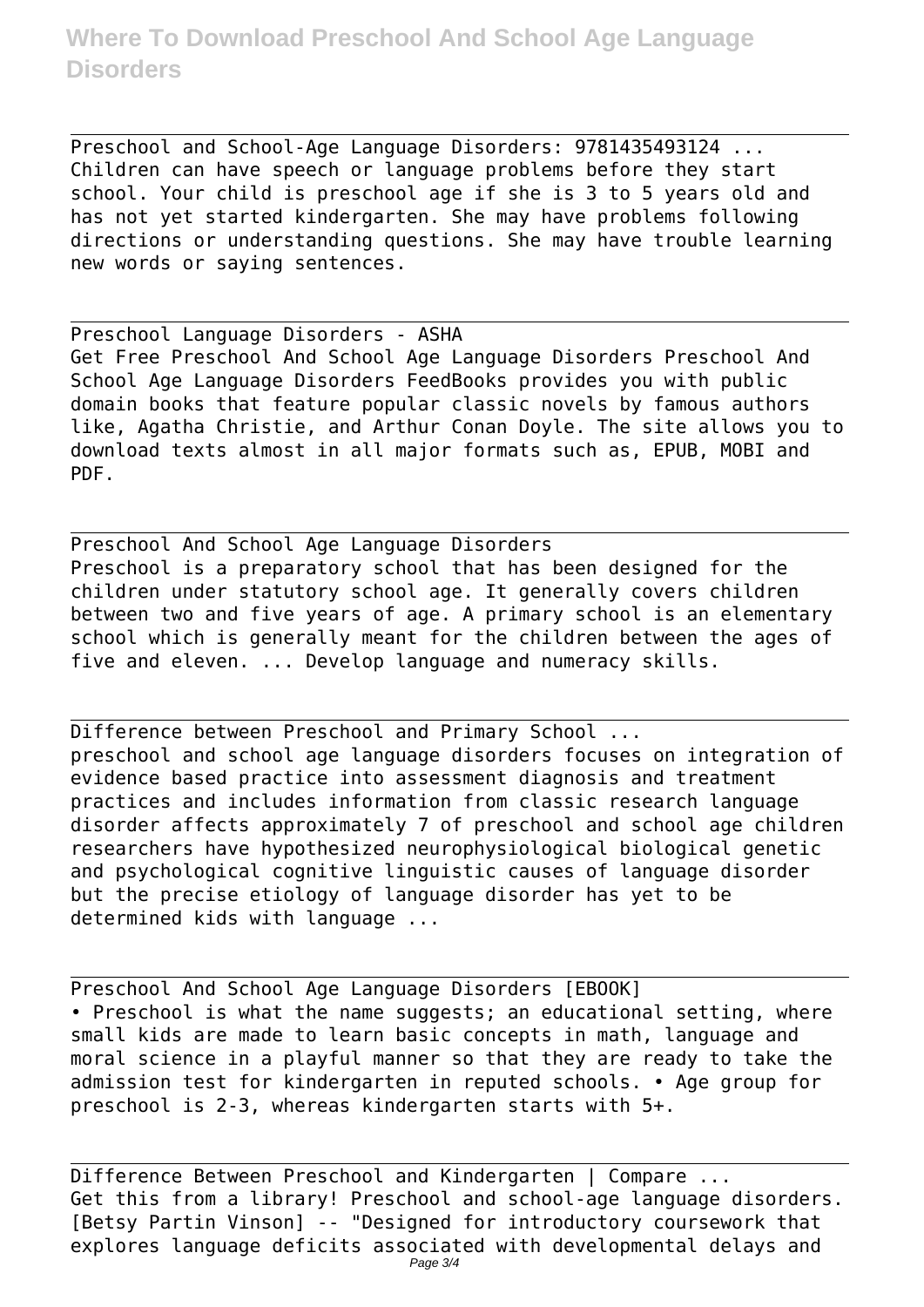Preschool and School-Age Language Disorders: 9781435493124 ... Children can have speech or language problems before they start school. Your child is preschool age if she is 3 to 5 years old and has not yet started kindergarten. She may have problems following directions or understanding questions. She may have trouble learning new words or saying sentences.

Preschool Language Disorders - ASHA Get Free Preschool And School Age Language Disorders Preschool And School Age Language Disorders FeedBooks provides you with public domain books that feature popular classic novels by famous authors like, Agatha Christie, and Arthur Conan Doyle. The site allows you to download texts almost in all major formats such as, EPUB, MOBI and PDF.

Preschool And School Age Language Disorders Preschool is a preparatory school that has been designed for the children under statutory school age. It generally covers children between two and five years of age. A primary school is an elementary school which is generally meant for the children between the ages of five and eleven. ... Develop language and numeracy skills.

Difference between Preschool and Primary School ... preschool and school age language disorders focuses on integration of evidence based practice into assessment diagnosis and treatment practices and includes information from classic research language disorder affects approximately 7 of preschool and school age children researchers have hypothesized neurophysiological biological genetic and psychological cognitive linguistic causes of language disorder but the precise etiology of language disorder has yet to be determined kids with language ...

Preschool And School Age Language Disorders [EBOOK] • Preschool is what the name suggests; an educational setting, where small kids are made to learn basic concepts in math, language and moral science in a playful manner so that they are ready to take the admission test for kindergarten in reputed schools. • Age group for preschool is 2-3, whereas kindergarten starts with 5+.

Difference Between Preschool and Kindergarten | Compare ... Get this from a library! Preschool and school-age language disorders. [Betsy Partin Vinson] -- "Designed for introductory coursework that explores language deficits associated with developmental delays and